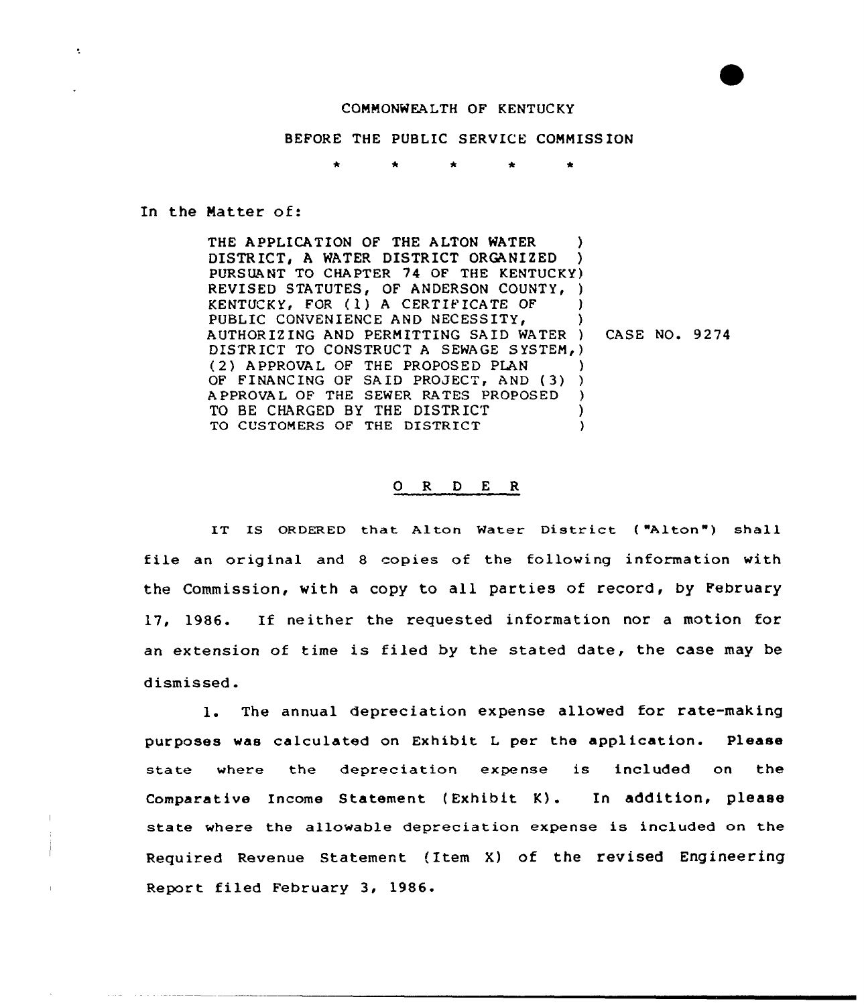## COMMONWEALTH OF KENTUCKY

BEFORE THE PUBLIC SERVICE COMMISSION

In the Matter of:

 $\bullet$ 

THE APPLICATION OF THE ALTON WATER DISTRICT, A WATER DISTRICT ORGANIZED PURS UA NT TO CHAPTER 74 OF THE KENTUCKY ) REVISED STATUTES, OF ANDERSON COUNTY, ) KENTUCKY, FOR (1) A CERTIFICATE OF PUBLIC CONVENIENCE AND NECESSITY, AUTHOR IZ ING AND PERMITTING SAID WATER DISTRICT TO CONSTRUCT A SEWAGE SYSTEM, ) ( 2) APPROVAL OF THE PROPOSED PLAN (2) APPROVAL OF THE PROPOSED PLAN<br>OF FINANCING OF SAID PROJECT, AND (3) ) APPROVAL OF THE SEWER RATES PROPOSED TO BE CHARGED BY THE DISTRICT TO CUSTOMERS OF THE DISTRICT ) ) ) ) ) CASE NO. 9274 ) ) ) )

## 0 R <sup>D</sup> E <sup>R</sup>

IT IS ORDERED that Alton Water District ("Alton") shall file an original and 8 copies of the following information with the Commission, with a copy to all parties of record, by February 17, 1986. If neither the requested information nor <sup>a</sup> motion for an extension of time is fi1ed by the stated date, the case may be dismissed.

1. The annual depreciation expense allowed for rate-making purposes was calculated on Exhibit <sup>L</sup> per the application. Please state where the depreciation expense is included on the Comparative Income Statement (Exhibit K). In addition, please state where the allowable depreciation expense is included on the Required Revenue Statement (Item X) of the revised Engineering Report filed February 3, 1986.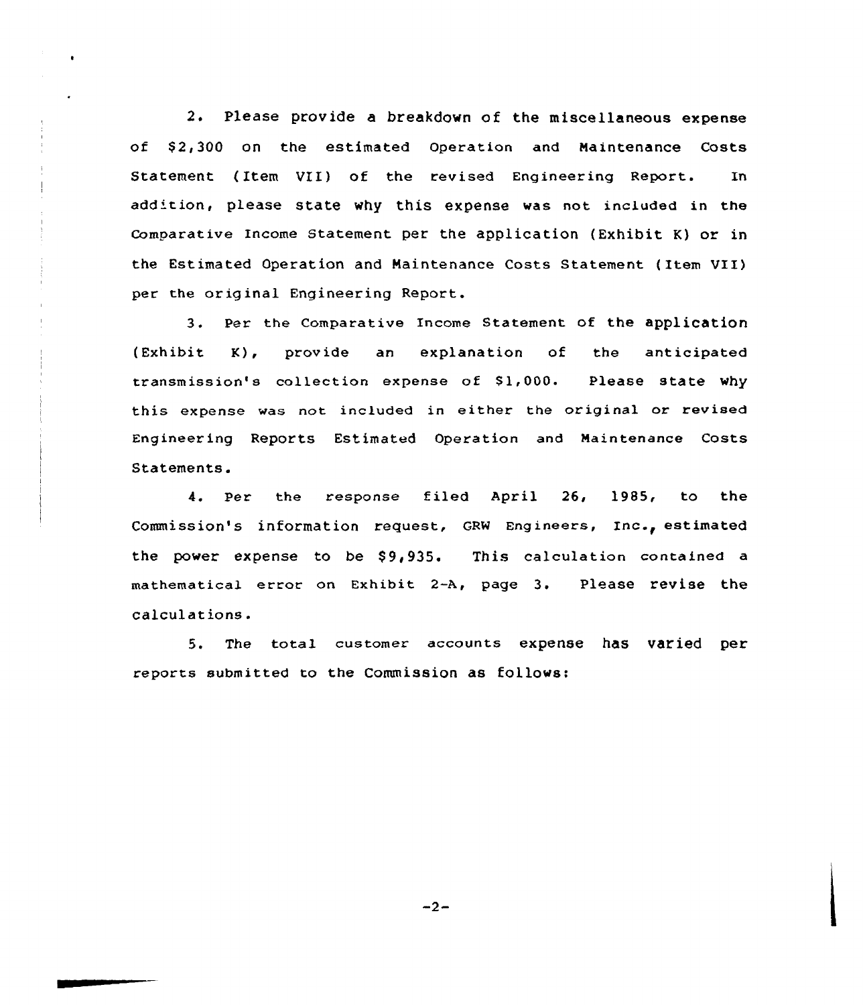2. Please provide a breakdown of the miscellaneous expense of \$2,300 on the estimated Operation and Maintenance Costs Statement ( Item VII) of the revised Engineering Report. In add'tion, please state why this expense was not included in the comparative Income Statement per the application (Exhibit K) or in the Estimated Operation and Maintenance Costs Statement ( Item VII) per the original Engineering Report.

3. Per the Comparative Income Statement of the application (Exhibit K), provide an explanation of the anticipated transmission's collection expense of \$1,000. Please state why this expense was not included in either the original or revised Engineering Reports Estimated Operation and Maintenance Costs Statements.

4. Per the response filed April 26, 1985, to the Commission's information request, GRW Engineers, Inc., estimated the power expense to be \$9,935. This calculation contained a mathematical error on Exhibit 2-A, page 3. Please revise the calcul at ions .

5. The total customer accounts expense has varied per reports submitted to the Commission as follows:

 $-2-$